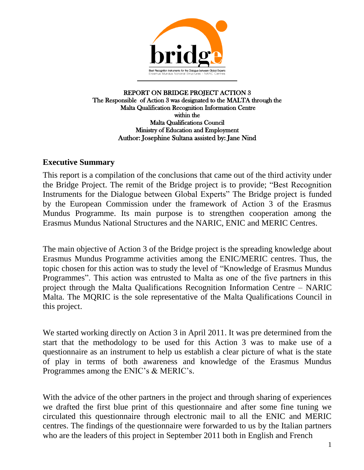

REPORT ON BRIDGE PROJECT ACTION 3 The Responsible of Action 3 was designated to the MALTA through the Malta Qualification Recognition Information Centre within the Malta Qualifications Council Ministry of Education and Employment Author: Josephine Sultana assisted by: Jane Nind

## **Executive Summary**

This report is a compilation of the conclusions that came out of the third activity under the Bridge Project. The remit of the Bridge project is to provide; "Best Recognition Instruments for the Dialogue between Global Experts" The Bridge project is funded by the European Commission under the framework of Action 3 of the Erasmus Mundus Programme. Its main purpose is to strengthen cooperation among the Erasmus Mundus National Structures and the NARIC, ENIC and MERIC Centres.

The main objective of Action 3 of the Bridge project is the spreading knowledge about Erasmus Mundus Programme activities among the ENIC/MERIC centres. Thus, the topic chosen for this action was to study the level of "Knowledge of Erasmus Mundus Programmes". This action was entrusted to Malta as one of the five partners in this project through the Malta Qualifications Recognition Information Centre – NARIC Malta. The MQRIC is the sole representative of the Malta Qualifications Council in this project.

We started working directly on Action 3 in April 2011. It was pre determined from the start that the methodology to be used for this Action 3 was to make use of a questionnaire as an instrument to help us establish a clear picture of what is the state of play in terms of both awareness and knowledge of the Erasmus Mundus Programmes among the ENIC's & MERIC's.

With the advice of the other partners in the project and through sharing of experiences we drafted the first blue print of this questionnaire and after some fine tuning we circulated this questionnaire through electronic mail to all the ENIC and MERIC centres. The findings of the questionnaire were forwarded to us by the Italian partners who are the leaders of this project in September 2011 both in English and French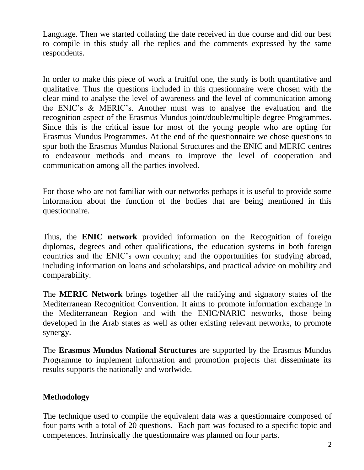Language. Then we started collating the date received in due course and did our best to compile in this study all the replies and the comments expressed by the same respondents.

In order to make this piece of work a fruitful one, the study is both quantitative and qualitative. Thus the questions included in this questionnaire were chosen with the clear mind to analyse the level of awareness and the level of communication among the ENIC's & MERIC's. Another must was to analyse the evaluation and the recognition aspect of the Erasmus Mundus joint/double/multiple degree Programmes. Since this is the critical issue for most of the young people who are opting for Erasmus Mundus Programmes. At the end of the questionnaire we chose questions to spur both the Erasmus Mundus National Structures and the ENIC and MERIC centres to endeavour methods and means to improve the level of cooperation and communication among all the parties involved.

For those who are not familiar with our networks perhaps it is useful to provide some information about the function of the bodies that are being mentioned in this questionnaire.

Thus, the **ENIC network** provided information on the Recognition of foreign diplomas, degrees and other qualifications, the education systems in both foreign countries and the ENIC's own country; and the opportunities for studying abroad, including information on loans and scholarships, and practical advice on mobility and comparability.

The **MERIC Network** brings together all the ratifying and signatory states of the Mediterranean Recognition Convention. It aims to promote information exchange in the Mediterranean Region and with the ENIC/NARIC networks, those being developed in the Arab states as well as other existing relevant networks, to promote synergy.

The **Erasmus Mundus National Structures** are supported by the Erasmus Mundus Programme to implement information and promotion projects that disseminate its results supports the nationally and worlwide.

# **Methodology**

The technique used to compile the equivalent data was a questionnaire composed of four parts with a total of 20 questions. Each part was focused to a specific topic and competences. Intrinsically the questionnaire was planned on four parts.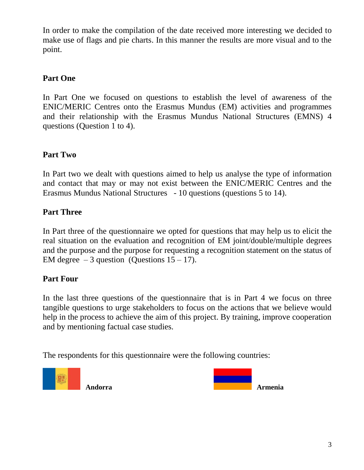In order to make the compilation of the date received more interesting we decided to make use of flags and pie charts. In this manner the results are more visual and to the point.

# **Part One**

In Part One we focused on questions to establish the level of awareness of the ENIC/MERIC Centres onto the Erasmus Mundus (EM) activities and programmes and their relationship with the Erasmus Mundus National Structures (EMNS) 4 questions (Question 1 to 4).

# **Part Two**

In Part two we dealt with questions aimed to help us analyse the type of information and contact that may or may not exist between the ENIC/MERIC Centres and the Erasmus Mundus National Structures - 10 questions (questions 5 to 14).

# **Part Three**

In Part three of the questionnaire we opted for questions that may help us to elicit the real situation on the evaluation and recognition of EM joint/double/multiple degrees and the purpose and the purpose for requesting a recognition statement on the status of EM degree  $-3$  question (Questions  $15 - 17$ ).

# **Part Four**

In the last three questions of the questionnaire that is in Part 4 we focus on three tangible questions to urge stakeholders to focus on the actions that we believe would help in the process to achieve the aim of this project. By training, improve cooperation and by mentioning factual case studies.

The respondents for this questionnaire were the following countries:



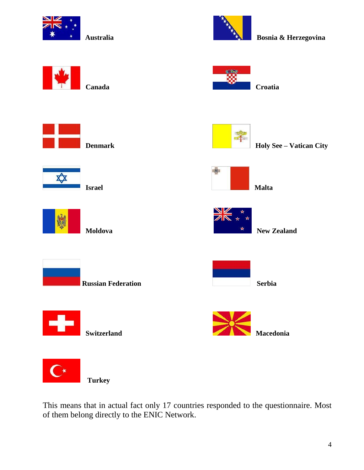



**Australia****Australia Bosnia & Herzegovina** 



This means that in actual fact only 17 countries responded to the questionnaire. Most of them belong directly to the ENIC Network.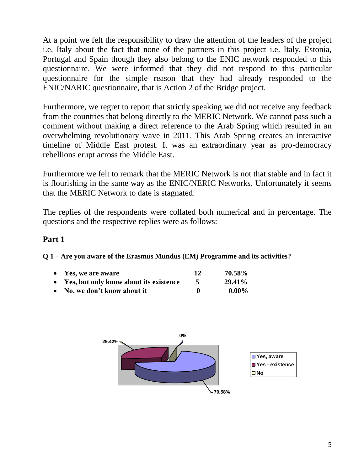At a point we felt the responsibility to draw the attention of the leaders of the project i.e. Italy about the fact that none of the partners in this project i.e. Italy, Estonia, Portugal and Spain though they also belong to the ENIC network responded to this questionnaire. We were informed that they did not respond to this particular questionnaire for the simple reason that they had already responded to the ENIC/NARIC questionnaire, that is Action 2 of the Bridge project.

Furthermore, we regret to report that strictly speaking we did not receive any feedback from the countries that belong directly to the MERIC Network. We cannot pass such a comment without making a direct reference to the Arab Spring which resulted in an overwhelming revolutionary wave in 2011. This Arab Spring creates an interactive timeline of Middle East protest. It was an extraordinary year as pro-democracy rebellions erupt across the Middle East.

Furthermore we felt to remark that the MERIC Network is not that stable and in fact it is flourishing in the same way as the ENIC/NERIC Networks. Unfortunately it seems that the MERIC Network to date is stagnated.

The replies of the respondents were collated both numerical and in percentage. The questions and the respective replies were as follows:

# **Part 1**

**Q 1 – Are you aware of the Erasmus Mundus (EM) Programme and its activities?**

| • Yes, we are aware                      | 70.58%            |
|------------------------------------------|-------------------|
| • Yes, but only know about its existence | 29.41%            |
| $\bullet$ No we den't know about it      | $\Omega$ $\Omega$ |

**No, we don't know about it computer that it computer with**  $\mathbf{0}$ **.**  $\mathbf{0}$ .

![](_page_4_Figure_8.jpeg)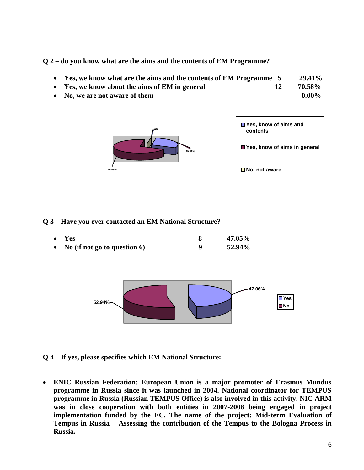**Q 2 – do you know what are the aims and the contents of EM Programme?**

- **Yes, we know what are the aims and the contents of EM Programme 5 29.41%**
- Yes, we know about the aims of EM in general 12 70.58%
- No, we are not aware of them **0.00%** and 0.00%

![](_page_5_Figure_4.jpeg)

| $\blacksquare$ Yes, know of aims and<br>contents |
|--------------------------------------------------|
| ■ Yes, know of aims in general                   |
| $\square$ No, not aware                          |

**Q 3 – Have you ever contacted an EM National Structure?**

| $\bullet$ Yes                     | 47.05% |
|-----------------------------------|--------|
| • No (if not go to question $6$ ) | 52.94% |

![](_page_5_Figure_8.jpeg)

**Q 4 – If yes, please specifies which EM National Structure:**

 **ENIC Russian Federation: European Union is a major promoter of Erasmus Mundus programme in Russia since it was launched in 2004. National coordinator for TEMPUS programme in Russia (Russian TEMPUS Office) is also involved in this activity. NIC ARM was in close cooperation with both entities in 2007-2008 being engaged in project implementation funded by the EC. The name of the project: Mid-term Evaluation of Tempus in Russia – Assessing the contribution of the Tempus to the Bologna Process in Russia.**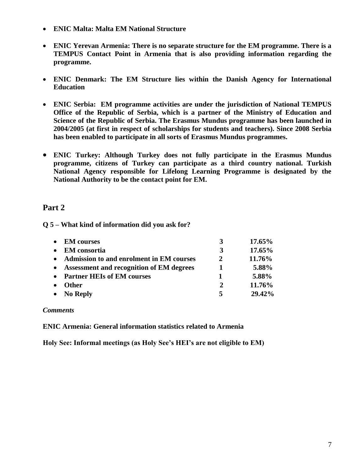- **ENIC Malta: Malta EM National Structure**
- **ENIC Yerevan Armenia: There is no separate structure for the EM programme. There is a TEMPUS Contact Point in Armenia that is also providing information regarding the programme.**
- **ENIC Denmark: The EM Structure lies within the Danish Agency for International Education**
- **ENIC Serbia: EM programme activities are under the jurisdiction of National TEMPUS Office of the Republic of Serbia, which is a partner of the Ministry of Education and Science of the Republic of Serbia. The Erasmus Mundus programme has been launched in 2004/2005 (at first in respect of scholarships for students and teachers). Since 2008 Serbia has been enabled to participate in all sorts of Erasmus Mundus programmes.**
- **ENIC Turkey: Although Turkey does not fully participate in the Erasmus Mundus programme, citizens of Turkey can participate as a third country national. Turkish National Agency responsible for Lifelong Learning Programme is designated by the National Authority to be the contact point for EM.**

## **Part 2**

**Q 5 – What kind of information did you ask for?**

| <b>EM</b> courses<br>$\bullet$             | 3            | $17.65\%$ |
|--------------------------------------------|--------------|-----------|
| <b>EM</b> consortia<br>$\bullet$           | 3            | 17.65%    |
| • Admission to and enrolment in EM courses | 2            | 11.76%    |
| • Assessment and recognition of EM degrees |              | 5.88%     |
| • Partner HEIs of EM courses               |              | 5.88%     |
| <b>Other</b><br>$\bullet$                  | $\mathbf{2}$ | 11.76%    |
| $\bullet$ No Reply                         | 5            | 29.42%    |

#### *Comments*

**ENIC Armenia: General information statistics related to Armenia**

**Holy See: Informal meetings (as Holy See's HEI's are not eligible to EM)**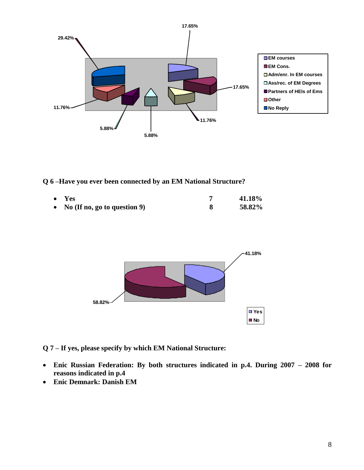![](_page_7_Figure_0.jpeg)

**Q 6 –Have you ever been connected by an EM National Structure?**

| $\bullet$ Yes                  | 41.18% |
|--------------------------------|--------|
| • No (If no, go to question 9) | 58.82% |

![](_page_7_Figure_3.jpeg)

**Q 7 – If yes, please specify by which EM National Structure:**

- **Enic Russian Federation: By both structures indicated in p.4. During 2007 – 2008 for reasons indicated in p.4**
- **Enic Demnark: Danish EM**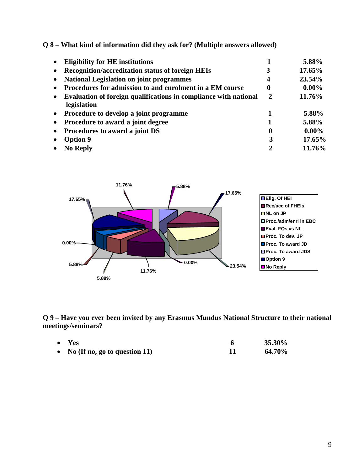**Q 8 – What kind of information did they ask for? (Multiple answers allowed)**

|           | <b>Eligibility for HE institutions</b>                                          |              | 5.88%    |
|-----------|---------------------------------------------------------------------------------|--------------|----------|
|           | <b>Recognition/accreditation status of foreign HEIs</b>                         | 3            | 17.65%   |
|           | <b>National Legislation on joint programmes</b>                                 | 4            | 23.54%   |
|           | Procedures for admission to and enrolment in a EM course                        | 0            | $0.00\%$ |
| $\bullet$ | Evaluation of foreign qualifications in compliance with national<br>legislation | $\mathbf{2}$ | 11.76%   |
| $\bullet$ | Procedure to develop a joint programme                                          |              | 5.88%    |
| $\bullet$ | Procedure to award a joint degree                                               |              | 5.88%    |
| $\bullet$ | Procedures to award a joint DS                                                  | $\mathbf 0$  | $0.00\%$ |
|           | <b>Option 9</b>                                                                 | 3            | 17.65%   |
|           | <b>No Reply</b>                                                                 |              | 11.76%   |

![](_page_8_Figure_2.jpeg)

**Q 9 – Have you ever been invited by any Erasmus Mundus National Structure to their national meetings/seminars?**

| $\bullet$ Yes                   | 35.30% |
|---------------------------------|--------|
| • No (If no, go to question 11) | 64.70% |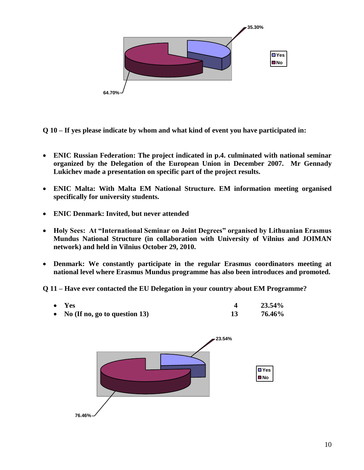![](_page_9_Figure_0.jpeg)

**Q 10 – If yes please indicate by whom and what kind of event you have participated in:**

- **ENIC Russian Federation: The project indicated in p.4. culminated with national seminar organized by the Delegation of the European Union in December 2007. Mr Gennady Lukichev made a presentation on specific part of the project results.**
- **ENIC Malta: With Malta EM National Structure. EM information meeting organised specifically for university students.**
- **ENIC Denmark: Invited, but never attended**
- **Holy Sees: At "International Seminar on Joint Degrees" organised by Lithuanian Erasmus Mundus National Structure (in collaboration with University of Vilnius and JOIMAN network) and held in Vilnius October 29, 2010.**
- **Denmark: We constantly participate in the regular Erasmus coordinators meeting at national level where Erasmus Mundus programme has also been introduces and promoted.**

#### **Q 11 – Have ever contacted the EU Delegation in your country about EM Programme?**

| $\bullet$ Yes                      | 23.54% |
|------------------------------------|--------|
| • No (If no, go to question $13$ ) | 76.46% |

![](_page_9_Figure_9.jpeg)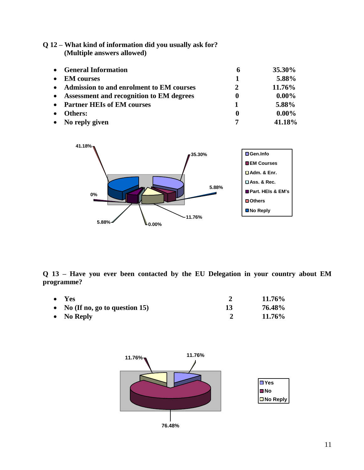**Q 12 – What kind of information did you usually ask for? (Multiple answers allowed)**

| $\bullet$ | <b>General Information</b>               | 6        | 35.30%   |
|-----------|------------------------------------------|----------|----------|
|           | <b>EM</b> courses                        | 1        | 5.88%    |
| $\bullet$ | Admission to and enrolment to EM courses | 2        | 11.76%   |
|           | Assessment and recognition to EM degrees | $\bf{0}$ | $0.00\%$ |
| $\bullet$ | <b>Partner HEIs of EM courses</b>        | 1        | 5.88%    |
|           | <b>Others:</b>                           | $\bf{0}$ | $0.00\%$ |
|           | No reply given                           |          | 41.18%   |

![](_page_10_Figure_2.jpeg)

**Q 13 – Have you ever been contacted by the EU Delegation in your country about EM programme?**

| $\bullet$ Yes |                                    | 11.76% |
|---------------|------------------------------------|--------|
|               | • No (If no, go to question $15$ ) | 76.48% |
|               | • No Reply                         | 11.76% |

![](_page_10_Figure_5.jpeg)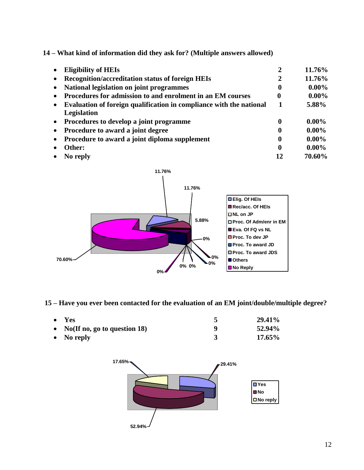**14 – What kind of information did they ask for? (Multiple answers allowed)**

|           | <b>Eligibility of HEIs</b>                                          | 2                | 11.76%   |
|-----------|---------------------------------------------------------------------|------------------|----------|
|           | Recognition/accreditation status of foreign HEIs                    | 2                | 11.76%   |
|           | National legislation on joint programmes                            | $\mathbf 0$      | $0.00\%$ |
|           | Procedures for admission to and enrolment in an EM courses          | $\mathbf 0$      | $0.00\%$ |
|           | Evaluation of foreign qualification in compliance with the national | 1                | 5.88%    |
|           | Legislation                                                         |                  |          |
| $\bullet$ | Procedures to develop a joint programme                             | $\mathbf 0$      | $0.00\%$ |
|           | Procedure to award a joint degree                                   | $\boldsymbol{0}$ | $0.00\%$ |
|           | Procedure to award a joint diploma supplement                       | $\boldsymbol{0}$ | $0.00\%$ |
|           | Other:                                                              | 0                | $0.00\%$ |
|           | No reply                                                            | 12               | 70.60%   |

![](_page_11_Figure_2.jpeg)

**15 – Have you ever been contacted for the evaluation of an EM joint/double/multiple degree?**

| $\bullet$ Yes                     |   | 29.41% |
|-----------------------------------|---|--------|
| • No(If no, go to question $18$ ) | a | 52.94% |
| • No reply                        |   | 17.65% |

![](_page_11_Figure_5.jpeg)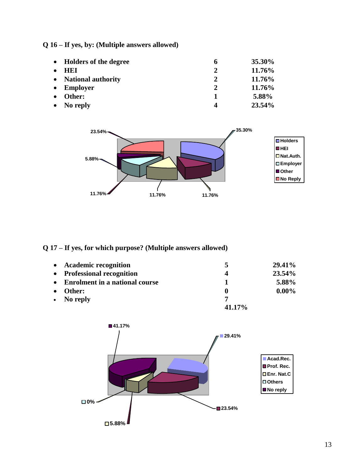| Q 16 – If yes, by: (Multiple answers allowed) |  |
|-----------------------------------------------|--|
|-----------------------------------------------|--|

| • Holders of the degree | 6            | <b>35.30%</b> |
|-------------------------|--------------|---------------|
| - HET<br>$\bullet$      | $\mathbf{2}$ | 11.76%        |
| • National authority    | 2            | 11.76%        |
| $\bullet$ Employer      | $\mathbf{2}$ | 11.76%        |
| $\bullet$<br>Other:     |              | 5.88%         |
| $\bullet$ No reply      | 4            | 23.54%        |

![](_page_12_Figure_2.jpeg)

## **Q 17 – If yes, for which purpose? (Multiple answers allowed)**

| $\bullet$             | <b>Academic recognition</b>           | 5              | 29.41%   |
|-----------------------|---------------------------------------|----------------|----------|
| $\bullet$             | <b>Professional recognition</b>       | $\overline{4}$ | 23.54%   |
| $\bullet$             | <b>Enrolment in a national course</b> |                | 5.88%    |
| Other:<br>$\bullet$   |                                       |                | $0.00\%$ |
| No reply<br>$\bullet$ |                                       |                |          |
|                       | 41.17%                                |                |          |

![](_page_12_Figure_5.jpeg)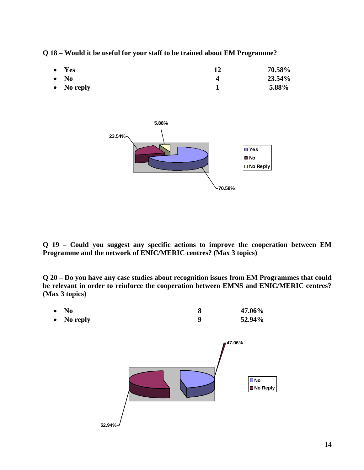**Q 18 – Would it be useful for your staff to be trained about EM Programme?**

| 12 | 70.58% |
|----|--------|
|    | 23.54% |
|    | 5.88%  |
|    |        |

![](_page_13_Figure_2.jpeg)

**Q 19 – Could you suggest any specific actions to improve the cooperation between EM Programme and the network of ENIC/MERIC centres? (Max 3 topics)**

**Q 20 – Do you have any case studies about recognition issues from EM Programmes that could be relevant in order to reinforce the cooperation between EMNS and ENIC/MERIC centres? (Max 3 topics)** 

![](_page_13_Figure_5.jpeg)